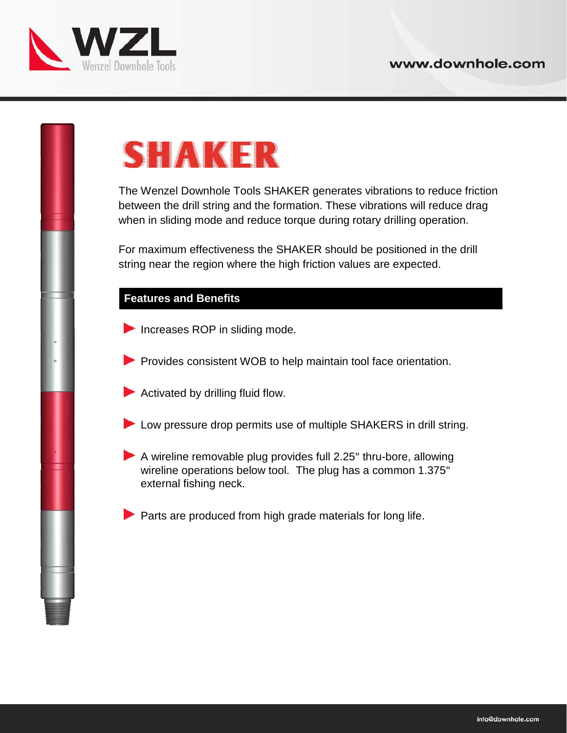

## **SHAKER**

The Wenzel Downhole Tools SHAKER generates vibrations to reduce friction between the drill string and the formation. These vibrations will reduce drag when in sliding mode and reduce torque during rotary drilling operation.

For maximum effectiveness the SHAKER should be positioned in the drill string near the region where the high friction values are expected.

## **Features and Benefits**

- Increases ROP in sliding mode.
- Provides consistent WOB to help maintain tool face orientation.
- Activated by drilling fluid flow.
- Low pressure drop permits use of multiple SHAKERS in drill string.
- A wireline removable plug provides full 2.25" thru-bore, allowing wireline operations below tool. The plug has a common 1.375" external fishing neck.

 $\blacktriangleright$  Parts are produced from high grade materials for long life.